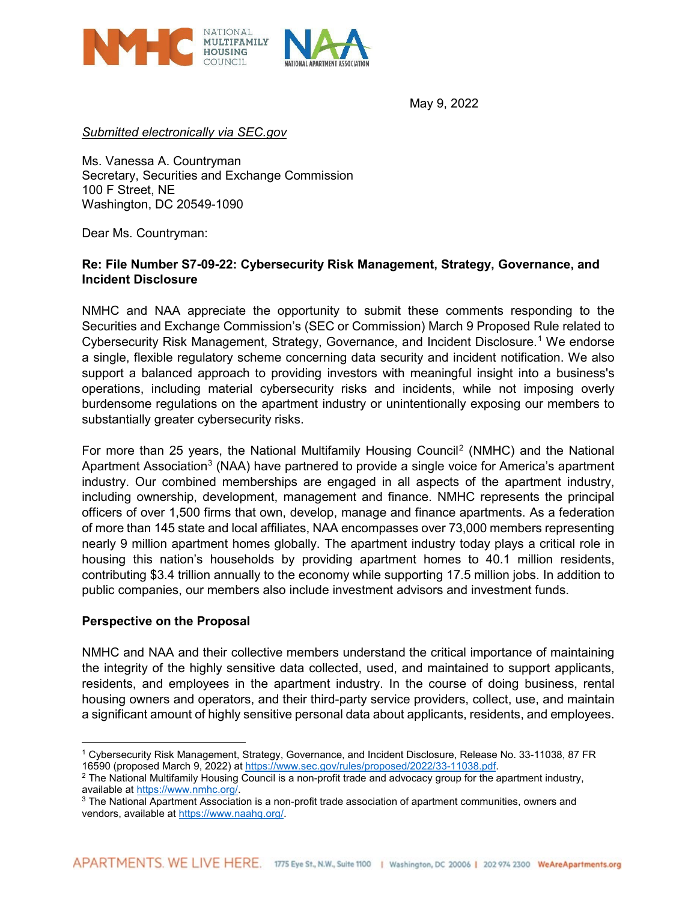

May 9, 2022

*Submitted electronically via SEC.gov* 

Ms. Vanessa A. Countryman Secretary, Securities and Exchange Commission 100 F Street, NE Washington, DC 20549-1090

Dear Ms. Countryman:

# **Re: File Number S7-09-22: Cybersecurity Risk Management, Strategy, Governance, and Incident Disclosure**

NMHC and NAA appreciate the opportunity to submit these comments responding to the Securities and Exchange Commission's (SEC or Commission) March 9 Proposed Rule related to Cybersecurity Risk Management, Strategy, Governance, and Incident Disclosure.[1](#page-0-0) We endorse a single, flexible regulatory scheme concerning data security and incident notification. We also support a balanced approach to providing investors with meaningful insight into a business's operations, including material cybersecurity risks and incidents, while not imposing overly burdensome regulations on the apartment industry or unintentionally exposing our members to substantially greater cybersecurity risks.

For more than 25 years, the National Multifamily Housing Council[2](#page-0-1) (NMHC) and the National Apartment Association<sup>[3](#page-0-2)</sup> (NAA) have partnered to provide a single voice for America's apartment industry. Our combined memberships are engaged in all aspects of the apartment industry, including ownership, development, management and finance. NMHC represents the principal officers of over 1,500 firms that own, develop, manage and finance apartments. As a federation of more than 145 state and local affiliates, NAA encompasses over 73,000 members representing nearly 9 million apartment homes globally. The apartment industry today plays a critical role in housing this nation's households by providing apartment homes to 40.1 million residents, contributing \$3.4 trillion annually to the economy while supporting 17.5 million jobs. In addition to public companies, our members also include investment advisors and investment funds.

#### **Perspective on the Proposal**

NMHC and NAA and their collective members understand the critical importance of maintaining the integrity of the highly sensitive data collected, used, and maintained to support applicants, residents, and employees in the apartment industry. In the course of doing business, rental housing owners and operators, and their third-party service providers, collect, use, and maintain a significant amount of highly sensitive personal data about applicants, residents, and employees.

<span id="page-0-0"></span> $\overline{a}$ <sup>1</sup> Cybersecurity Risk Management, Strategy, Governance, and Incident Disclosure, Release No. 33-11038, 87 FR<br>16590 (proposed March 9, 2022) at https://www.sec.gov/rules/proposed/2022/33-11038.pdf.

<span id="page-0-1"></span><sup>&</sup>lt;sup>2</sup> The National Multifamily Housing Council is a non-profit trade and advocacy group for the apartment industry, available at <u>https://www.nmhc.org/</u>.<br><sup>3</sup> The National Apartment Association is a non-profit trade association of apartment communities, owners and

<span id="page-0-2"></span>vendors, available at [https://www.naahq.org/.](https://www.naahq.org/)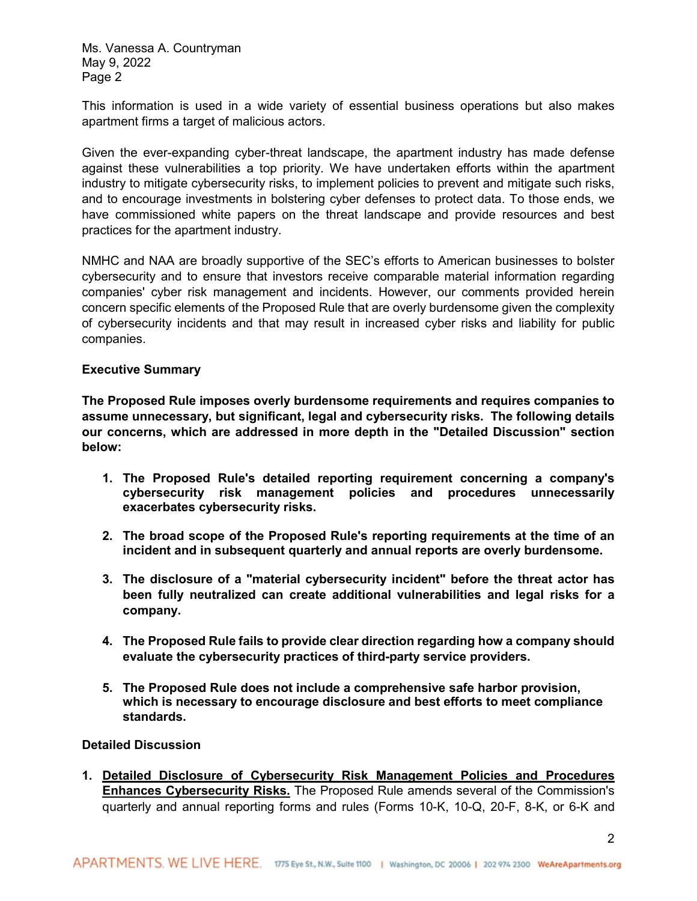Ms. Vanessa A. Countryman May 9, 2022 Page 2

This information is used in a wide variety of essential business operations but also makes apartment firms a target of malicious actors.

Given the ever-expanding cyber-threat landscape, the apartment industry has made defense against these vulnerabilities a top priority. We have undertaken efforts within the apartment industry to mitigate cybersecurity risks, to implement policies to prevent and mitigate such risks, and to encourage investments in bolstering cyber defenses to protect data. To those ends, we have commissioned white papers on the threat landscape and provide resources and best practices for the apartment industry.

NMHC and NAA are broadly supportive of the SEC's efforts to American businesses to bolster cybersecurity and to ensure that investors receive comparable material information regarding companies' cyber risk management and incidents. However, our comments provided herein concern specific elements of the Proposed Rule that are overly burdensome given the complexity of cybersecurity incidents and that may result in increased cyber risks and liability for public companies.

### **Executive Summary**

**The Proposed Rule imposes overly burdensome requirements and requires companies to assume unnecessary, but significant, legal and cybersecurity risks. The following details our concerns, which are addressed in more depth in the "Detailed Discussion" section below:**

- **1. The Proposed Rule's detailed reporting requirement concerning a company's cybersecurity risk management policies and procedures unnecessarily exacerbates cybersecurity risks.**
- **2. The broad scope of the Proposed Rule's reporting requirements at the time of an incident and in subsequent quarterly and annual reports are overly burdensome.**
- **3. The disclosure of a "material cybersecurity incident" before the threat actor has been fully neutralized can create additional vulnerabilities and legal risks for a company.**
- **4. The Proposed Rule fails to provide clear direction regarding how a company should evaluate the cybersecurity practices of third-party service providers.**
- **5. The Proposed Rule does not include a comprehensive safe harbor provision, which is necessary to encourage disclosure and best efforts to meet compliance standards.**

# **Detailed Discussion**

**1. Detailed Disclosure of Cybersecurity Risk Management Policies and Procedures Enhances Cybersecurity Risks.** The Proposed Rule amends several of the Commission's quarterly and annual reporting forms and rules (Forms 10-K, 10-Q, 20-F, 8-K, or 6-K and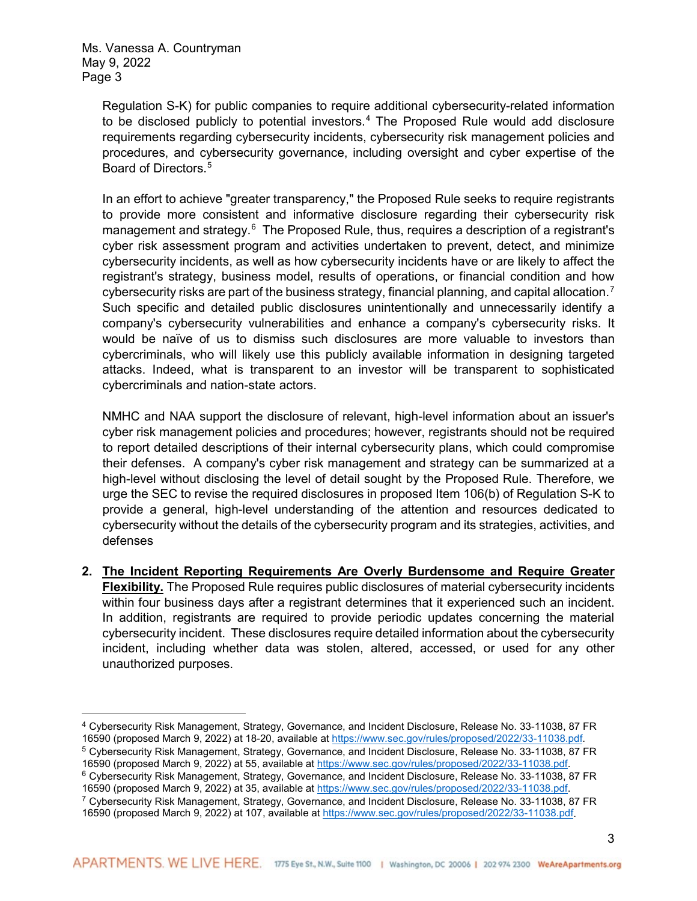$\overline{a}$ 

Regulation S-K) for public companies to require additional cybersecurity-related information to be disclosed publicly to potential investors. $4$  The Proposed Rule would add disclosure requirements regarding cybersecurity incidents, cybersecurity risk management policies and procedures, and cybersecurity governance, including oversight and cyber expertise of the Board of Directors.<sup>[5](#page-2-1)</sup>

In an effort to achieve "greater transparency," the Proposed Rule seeks to require registrants to provide more consistent and informative disclosure regarding their cybersecurity risk management and strategy. $^6$  $^6$  The Proposed Rule, thus, requires a description of a registrant's cyber risk assessment program and activities undertaken to prevent, detect, and minimize cybersecurity incidents, as well as how cybersecurity incidents have or are likely to affect the registrant's strategy, business model, results of operations, or financial condition and how cybersecurity risks are part of the business strategy, financial planning, and capital allocation.<sup>[7](#page-2-3)</sup> Such specific and detailed public disclosures unintentionally and unnecessarily identify a company's cybersecurity vulnerabilities and enhance a company's cybersecurity risks. It would be naïve of us to dismiss such disclosures are more valuable to investors than cybercriminals, who will likely use this publicly available information in designing targeted attacks. Indeed, what is transparent to an investor will be transparent to sophisticated cybercriminals and nation-state actors.

NMHC and NAA support the disclosure of relevant, high-level information about an issuer's cyber risk management policies and procedures; however, registrants should not be required to report detailed descriptions of their internal cybersecurity plans, which could compromise their defenses. A company's cyber risk management and strategy can be summarized at a high-level without disclosing the level of detail sought by the Proposed Rule. Therefore, we urge the SEC to revise the required disclosures in proposed Item 106(b) of Regulation S-K to provide a general, high-level understanding of the attention and resources dedicated to cybersecurity without the details of the cybersecurity program and its strategies, activities, and defenses

**2. The Incident Reporting Requirements Are Overly Burdensome and Require Greater Flexibility.** The Proposed Rule requires public disclosures of material cybersecurity incidents within four business days after a registrant determines that it experienced such an incident. In addition, registrants are required to provide periodic updates concerning the material cybersecurity incident. These disclosures require detailed information about the cybersecurity incident, including whether data was stolen, altered, accessed, or used for any other unauthorized purposes.

<span id="page-2-0"></span><sup>4</sup> Cybersecurity Risk Management, Strategy, Governance, and Incident Disclosure, Release No. 33-11038, 87 FR 16590 (proposed March 9, 2022) at 18-20, available a[t https://www.sec.gov/rules/proposed/2022/33-11038.pdf.](https://www.sec.gov/rules/proposed/2022/33-11038.pdf)

<span id="page-2-1"></span><sup>5</sup> Cybersecurity Risk Management, Strategy, Governance, and Incident Disclosure, Release No. 33-11038, 87 FR 16590 (proposed March 9, 2022) at 55, available a[t https://www.sec.gov/rules/proposed/2022/33-11038.pdf.](https://www.sec.gov/rules/proposed/2022/33-11038.pdf)

<span id="page-2-2"></span><sup>6</sup> Cybersecurity Risk Management, Strategy, Governance, and Incident Disclosure, Release No. 33-11038, 87 FR 16590 (proposed March 9, 2022) at 35, available a[t https://www.sec.gov/rules/proposed/2022/33-11038.pdf.](https://www.sec.gov/rules/proposed/2022/33-11038.pdf)

<span id="page-2-3"></span><sup>7</sup> Cybersecurity Risk Management, Strategy, Governance, and Incident Disclosure, Release No. 33-11038, 87 FR 16590 (proposed March 9, 2022) at 107, available a[t https://www.sec.gov/rules/proposed/2022/33-11038.pdf.](https://www.sec.gov/rules/proposed/2022/33-11038.pdf)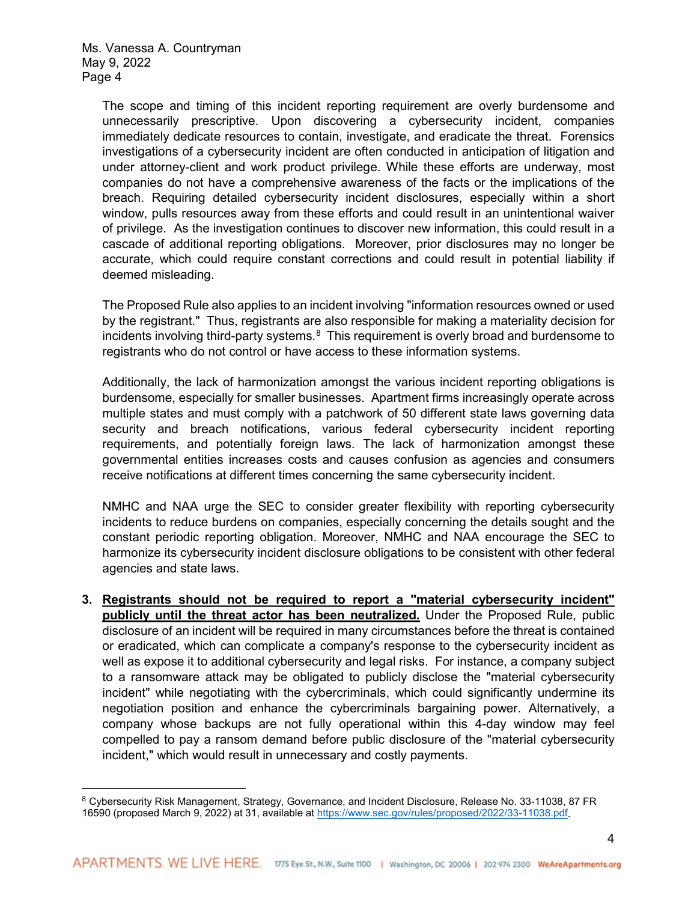$\overline{a}$ 

The scope and timing of this incident reporting requirement are overly burdensome and unnecessarily prescriptive. Upon discovering a cybersecurity incident, companies immediately dedicate resources to contain, investigate, and eradicate the threat. Forensics investigations of a cybersecurity incident are often conducted in anticipation of litigation and under attorney-client and work product privilege. While these efforts are underway, most companies do not have a comprehensive awareness of the facts or the implications of the breach. Requiring detailed cybersecurity incident disclosures, especially within a short window, pulls resources away from these efforts and could result in an unintentional waiver of privilege. As the investigation continues to discover new information, this could result in a cascade of additional reporting obligations. Moreover, prior disclosures may no longer be accurate, which could require constant corrections and could result in potential liability if deemed misleading.

The Proposed Rule also applies to an incident involving "information resources owned or used by the registrant." Thus, registrants are also responsible for making a materiality decision for incidents involving third-party systems. $^8\,$  $^8\,$  $^8\,$  This requirement is overly broad and burdensome to registrants who do not control or have access to these information systems.

Additionally, the lack of harmonization amongst the various incident reporting obligations is burdensome, especially for smaller businesses. Apartment firms increasingly operate across multiple states and must comply with a patchwork of 50 different state laws governing data security and breach notifications, various federal cybersecurity incident reporting requirements, and potentially foreign laws. The lack of harmonization amongst these governmental entities increases costs and causes confusion as agencies and consumers receive notifications at different times concerning the same cybersecurity incident.

NMHC and NAA urge the SEC to consider greater flexibility with reporting cybersecurity incidents to reduce burdens on companies, especially concerning the details sought and the constant periodic reporting obligation. Moreover, NMHC and NAA encourage the SEC to harmonize its cybersecurity incident disclosure obligations to be consistent with other federal agencies and state laws.

**3. Registrants should not be required to report a "material cybersecurity incident" publicly until the threat actor has been neutralized.** Under the Proposed Rule, public disclosure of an incident will be required in many circumstances before the threat is contained or eradicated, which can complicate a company's response to the cybersecurity incident as well as expose it to additional cybersecurity and legal risks. For instance, a company subject to a ransomware attack may be obligated to publicly disclose the "material cybersecurity incident" while negotiating with the cybercriminals, which could significantly undermine its negotiation position and enhance the cybercriminals bargaining power. Alternatively, a company whose backups are not fully operational within this 4-day window may feel compelled to pay a ransom demand before public disclosure of the "material cybersecurity incident," which would result in unnecessary and costly payments.

<span id="page-3-0"></span><sup>8</sup> Cybersecurity Risk Management, Strategy, Governance, and Incident Disclosure, Release No. 33-11038, 87 FR 16590 (proposed March 9, 2022) at 31, available a[t https://www.sec.gov/rules/proposed/2022/33-11038.pdf.](https://www.sec.gov/rules/proposed/2022/33-11038.pdf)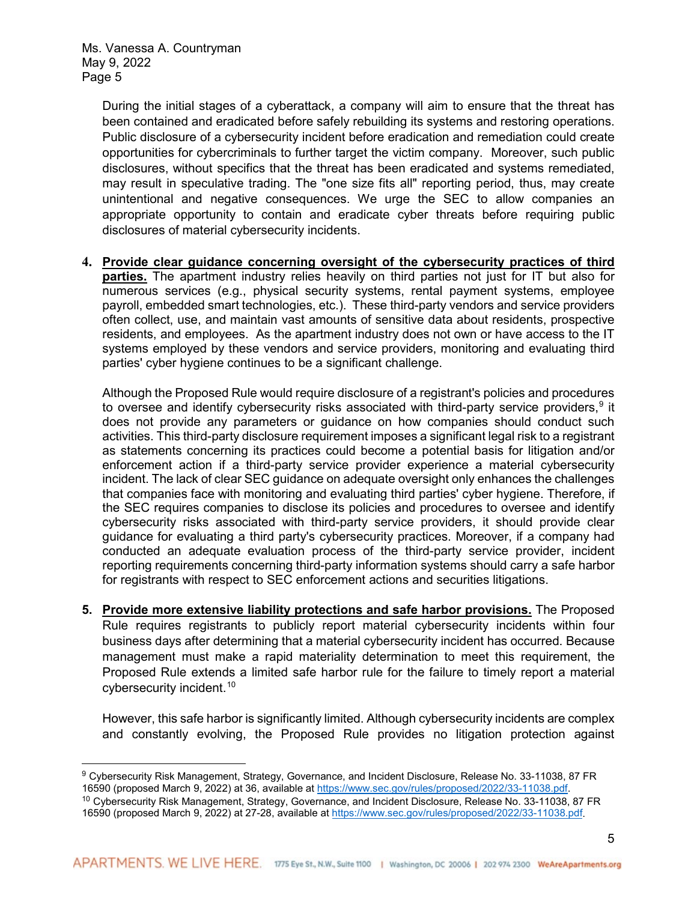During the initial stages of a cyberattack, a company will aim to ensure that the threat has been contained and eradicated before safely rebuilding its systems and restoring operations. Public disclosure of a cybersecurity incident before eradication and remediation could create opportunities for cybercriminals to further target the victim company. Moreover, such public disclosures, without specifics that the threat has been eradicated and systems remediated, may result in speculative trading. The "one size fits all" reporting period, thus, may create unintentional and negative consequences. We urge the SEC to allow companies an appropriate opportunity to contain and eradicate cyber threats before requiring public disclosures of material cybersecurity incidents.

**4. Provide clear guidance concerning oversight of the cybersecurity practices of third parties.** The apartment industry relies heavily on third parties not just for IT but also for numerous services (e.g., physical security systems, rental payment systems, employee payroll, embedded smart technologies, etc.). These third-party vendors and service providers often collect, use, and maintain vast amounts of sensitive data about residents, prospective residents, and employees. As the apartment industry does not own or have access to the IT systems employed by these vendors and service providers, monitoring and evaluating third parties' cyber hygiene continues to be a significant challenge.

Although the Proposed Rule would require disclosure of a registrant's policies and procedures to oversee and identify cybersecurity risks associated with third-party service providers, $^9$  $^9$  it does not provide any parameters or guidance on how companies should conduct such activities. This third-party disclosure requirement imposes a significant legal risk to a registrant as statements concerning its practices could become a potential basis for litigation and/or enforcement action if a third-party service provider experience a material cybersecurity incident. The lack of clear SEC guidance on adequate oversight only enhances the challenges that companies face with monitoring and evaluating third parties' cyber hygiene. Therefore, if the SEC requires companies to disclose its policies and procedures to oversee and identify cybersecurity risks associated with third-party service providers, it should provide clear guidance for evaluating a third party's cybersecurity practices. Moreover, if a company had conducted an adequate evaluation process of the third-party service provider, incident reporting requirements concerning third-party information systems should carry a safe harbor for registrants with respect to SEC enforcement actions and securities litigations.

**5. Provide more extensive liability protections and safe harbor provisions.** The Proposed Rule requires registrants to publicly report material cybersecurity incidents within four business days after determining that a material cybersecurity incident has occurred. Because management must make a rapid materiality determination to meet this requirement, the Proposed Rule extends a limited safe harbor rule for the failure to timely report a material cybersecurity incident. [10](#page-4-1)

However, this safe harbor is significantly limited. Although cybersecurity incidents are complex and constantly evolving, the Proposed Rule provides no litigation protection against

<span id="page-4-0"></span> $\overline{a}$ 9 Cybersecurity Risk Management, Strategy, Governance, and Incident Disclosure, Release No. 33-11038, 87 FR 16590 (proposed March 9, 2022) at 36, available a[t https://www.sec.gov/rules/proposed/2022/33-11038.pdf.](https://www.sec.gov/rules/proposed/2022/33-11038.pdf)

<span id="page-4-1"></span><sup>10</sup> Cybersecurity Risk Management, Strategy, Governance, and Incident Disclosure, Release No. 33-11038, 87 FR 16590 (proposed March 9, 2022) at 27-28, available a[t https://www.sec.gov/rules/proposed/2022/33-11038.pdf.](https://www.sec.gov/rules/proposed/2022/33-11038.pdf)